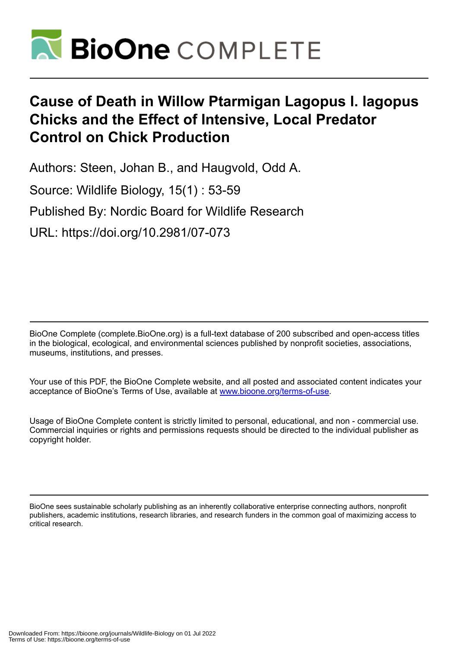

# **Cause of Death in Willow Ptarmigan Lagopus l. lagopus Chicks and the Effect of Intensive, Local Predator Control on Chick Production**

Authors: Steen, Johan B., and Haugvold, Odd A. Source: Wildlife Biology, 15(1) : 53-59 Published By: Nordic Board for Wildlife Research URL: https://doi.org/10.2981/07-073

BioOne Complete (complete.BioOne.org) is a full-text database of 200 subscribed and open-access titles in the biological, ecological, and environmental sciences published by nonprofit societies, associations, museums, institutions, and presses.

Your use of this PDF, the BioOne Complete website, and all posted and associated content indicates your acceptance of BioOne's Terms of Use, available at www.bioone.org/terms-of-use.

Usage of BioOne Complete content is strictly limited to personal, educational, and non - commercial use. Commercial inquiries or rights and permissions requests should be directed to the individual publisher as copyright holder.

BioOne sees sustainable scholarly publishing as an inherently collaborative enterprise connecting authors, nonprofit publishers, academic institutions, research libraries, and research funders in the common goal of maximizing access to critical research.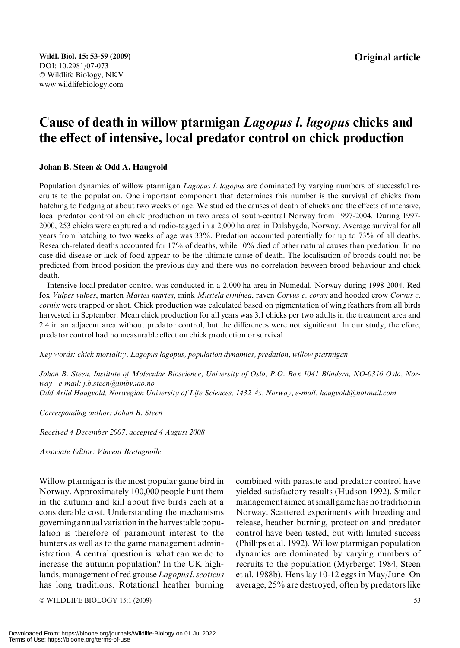# Cause of death in willow ptarmigan Lagopus l. lagopus chicks and the effect of intensive, local predator control on chick production

#### Johan B. Steen & Odd A. Haugvold

Population dynamics of willow ptarmigan *Lagopus l. lagopus* are dominated by varying numbers of successful recruits to the population. One important component that determines this number is the survival of chicks from hatching to fledging at about two weeks of age. We studied the causes of death of chicks and the effects of intensive, local predator control on chick production in two areas of south-central Norway from 1997-2004. During 1997- 2000, 253 chicks were captured and radio-tagged in a 2,000 ha area in Dalsbygda, Norway. Average survival for all years from hatching to two weeks of age was 33%. Predation accounted potentially for up to 73% of all deaths. Research-related deaths accounted for 17% of deaths, while 10% died of other natural causes than predation. In no case did disease or lack of food appear to be the ultimate cause of death. The localisation of broods could not be predicted from brood position the previous day and there was no correlation between brood behaviour and chick death.

Intensive local predator control was conducted in a 2,000 ha area in Numedal, Norway during 1998-2004. Red fox Vulpes vulpes, marten Martes martes, mink Mustela erminea, raven Corvus c. corax and hooded crow Corvus c. cornix were trapped or shot. Chick production was calculated based on pigmentation of wing feathers from all birds harvested in September. Mean chick production for all years was 3.1 chicks per two adults in the treatment area and 2.4 in an adjacent area without predator control, but the differences were not significant. In our study, therefore, predator control had no measurable effect on chick production or survival.

Key words: chick mortality, Lagopus lagopus, population dynamics, predation, willow ptarmigan

Johan B. Steen, Institute of Molecular Bioscience, University of Oslo, P.O. Box 1041 Blindern, NO-0316 Oslo, Norway - e-mail: j.b.steen@imbv.uio.no

Odd Arild Haugvold, Norwegian University of Life Sciences, 1432 Ås, Norway, e-mail: haugvold@hotmail.com

Corresponding author: Johan B. Steen

Received 4 December 2007, accepted 4 August 2008

Associate Editor: Vincent Bretagnolle

Willow ptarmigan is the most popular game bird in Norway. Approximately 100,000 people hunt them in the autumn and kill about five birds each at a considerable cost. Understanding the mechanisms governing annual variation in the harvestable population is therefore of paramount interest to the hunters as well as to the game management administration. A central question is: what can we do to increase the autumn population? In the UK highlands, management of red grouse Lagopus l. scoticus has long traditions. Rotational heather burning

 $\odot$  WILDLIFE BIOLOGY 15:1 (2009) 53

combined with parasite and predator control have yielded satisfactory results (Hudson 1992). Similar management aimed at small game has no traditionin Norway. Scattered experiments with breeding and release, heather burning, protection and predator control have been tested, but with limited success (Phillips et al. 1992). Willow ptarmigan population dynamics are dominated by varying numbers of recruits to the population (Myrberget 1984, Steen et al. 1988b). Hens lay 10-12 eggs in May/June. On average, 25% are destroyed, often by predators like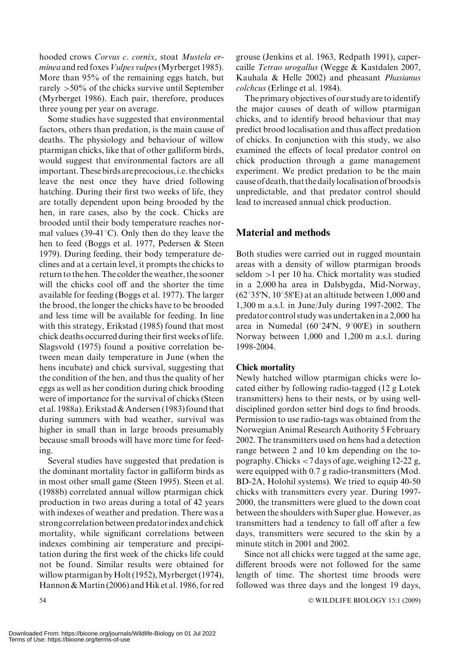hooded crows Corvus c. cornix, stoat Mustela erminea and red foxes Vulpes vulpes (Myrberget 1985). More than 95% of the remaining eggs hatch, but rarely >50% of the chicks survive until September (Myrberget 1986). Each pair, therefore, produces three young per year on average.

Some studies have suggested that environmental factors, others than predation, is the main cause of deaths. The physiology and behaviour of willow ptarmigan chicks, like that of other galliform birds, would suggest that environmental factors are all important. These birds are precocious, i.e. the chicks leave the nest once they have dried following hatching. During their first two weeks of life, they are totally dependent upon being brooded by the hen, in rare cases, also by the cock. Chicks are brooded until their body temperature reaches normal values (39-41 $^{\circ}$ C). Only then do they leave the hen to feed (Boggs et al. 1977, Pedersen & Steen 1979). During feeding, their body temperature declines and at a certain level, it prompts the chicks to return to the hen. The colder the weather, the sooner will the chicks cool off and the shorter the time available for feeding (Boggs et al. 1977). The larger the brood, the longer the chicks have to be brooded and less time will be available for feeding. In line with this strategy, Erikstad (1985) found that most chick deaths occurred during their first weeks of life. Slagsvold (1975) found a positive correlation between mean daily temperature in June (when the hens incubate) and chick survival, suggesting that the condition of the hen, and thus the quality of her eggs as well as her condition during chick brooding were of importance for the survival of chicks (Steen et al. 1988a). Erikstad & Andersen (1983) found that during summers with bad weather, survival was higher in small than in large broods presumably because small broods will have more time for feeding.

Several studies have suggested that predation is the dominant mortality factor in galliform birds as in most other small game (Steen 1995). Steen et al. (1988b) correlated annual willow ptarmigan chick production in two areas during a total of 42 years with indexes of weather and predation. There was a strong correlation between predatorindex and chick mortality, while significant correlations between indexes combining air temperature and precipitation during the first week of the chicks life could not be found. Similar results were obtained for willow ptarmigan by Holt (1952), Myrberget (1974), Hannon & Martin (2006) and Hik et al. 1986, for red

grouse (Jenkins et al. 1963, Redpath 1991), capercaille Tetrao urogallus (Wegge & Kastdalen 2007, Kauhala & Helle 2002) and pheasant Phasianus colchcus (Erlinge et al. 1984).

The primary objectives of our study are toidentify the major causes of death of willow ptarmigan chicks, and to identify brood behaviour that may predict brood localisation and thus affect predation of chicks. In conjunction with this study, we also examined the effects of local predator control on chick production through a game management experiment. We predict predation to be the main cause of death, that the dailylocalisation of broodsis unpredictable, and that predator control should lead to increased annual chick production.

### Material and methods

Both studies were carried out in rugged mountain areas with a density of willow ptarmigan broods seldom >1 per 10 ha. Chick mortality was studied in a 2,000 ha area in Dalsbygda, Mid-Norway,  $(62°35'N, 10°58'E)$  at an altitude between 1,000 and 1,300 m a.s.l. in June/July during 1997-2002. The predator control study was undertakenin a 2,000 ha area in Numedal ( $60^{\circ}24'N$ ,  $9^{\circ}00'E$ ) in southern Norway between 1,000 and 1,200 m a.s.l. during 1998-2004.

#### Chick mortality

Newly hatched willow ptarmigan chicks were located either by following radio-tagged (12 g Lotek transmitters) hens to their nests, or by using welldisciplined gordon setter bird dogs to find broods. Permission to use radio-tags was obtained from the Norwegian Animal Research Authority 5 February 2002. The transmitters used on hens had a detection range between 2 and 10 km depending on the topography. Chicks <7 days of age, weighing 12-22 g, were equipped with 0.7 g radio-transmitters (Mod. BD-2A, Holohil systems). We tried to equip 40-50 chicks with transmitters every year. During 1997- 2000, the transmitters were glued to the down coat between the shoulders with Super glue. However, as transmitters had a tendency to fall off after a few days, transmitters were secured to the skin by a minute stitch in 2001 and 2002.

Since not all chicks were tagged at the same age, different broods were not followed for the same length of time. The shortest time broods were followed was three days and the longest 19 days,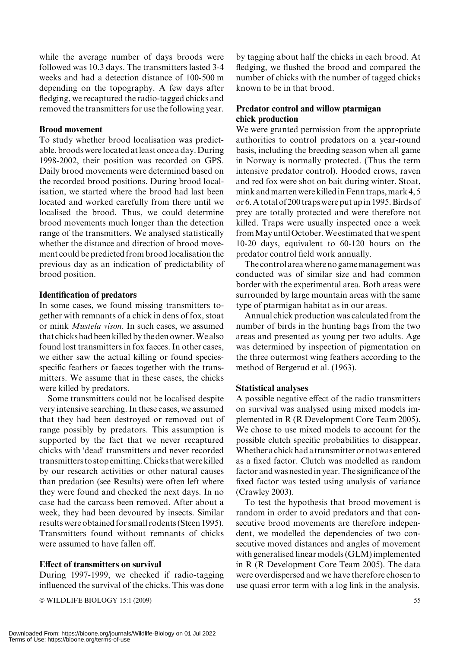while the average number of days broods were followed was 10.3 days. The transmitters lasted 3-4 weeks and had a detection distance of 100-500 m depending on the topography. A few days after fledging, we recaptured the radio-tagged chicks and removed the transmitters for use the following year.

#### Brood movement

To study whether brood localisation was predictable, broods werelocated atleast once a day.During 1998-2002, their position was recorded on GPS. Daily brood movements were determined based on the recorded brood positions. During brood localisation, we started where the brood had last been located and worked carefully from there until we localised the brood. Thus, we could determine brood movements much longer than the detection range of the transmitters. We analysed statistically whether the distance and direction of brood movement could be predicted from brood localisation the previous day as an indication of predictability of brood position.

#### Identification of predators

In some cases, we found missing transmitters together with remnants of a chick in dens of fox, stoat or mink Mustela vison. In such cases, we assumed that chicks had been killed by the den owner.We also found lost transmitters in fox faeces. In other cases, we either saw the actual killing or found speciesspecific feathers or faeces together with the transmitters. We assume that in these cases, the chicks were killed by predators.

Some transmitters could not be localised despite very intensive searching. In these cases, we assumed that they had been destroyed or removed out of range possibly by predators. This assumption is supported by the fact that we never recaptured chicks with 'dead' transmitters and never recorded transmitters to stop emitting.Chicks thatwere killed by our research activities or other natural causes than predation (see Results) were often left where they were found and checked the next days. In no case had the carcass been removed. After about a week, they had been devoured by insects. Similar results were obtained for small rodents (Steen 1995). Transmitters found without remnants of chicks were assumed to have fallen off.

#### Effect of transmitters on survival

During 1997-1999, we checked if radio-tagging influenced the survival of the chicks. This was done

- WILDLIFE BIOLOGY 15:1 (2009) 55

by tagging about half the chicks in each brood. At fledging, we flushed the brood and compared the number of chicks with the number of tagged chicks known to be in that brood.

#### Predator control and willow ptarmigan chick production

We were granted permission from the appropriate authorities to control predators on a year-round basis, including the breeding season when all game in Norway is normally protected. (Thus the term intensive predator control). Hooded crows, raven and red fox were shot on bait during winter. Stoat, mink and marten were killed in Fenn traps, mark 4, 5 or 6.A total of 200 traps were put upin 1995.Birds of prey are totally protected and were therefore not killed. Traps were usually inspected once a week fromMay untilOctober.We estimated that we spent 10-20 days, equivalent to 60-120 hours on the predator control field work annually.

The control area where no gamemanagement was conducted was of similar size and had common border with the experimental area. Both areas were surrounded by large mountain areas with the same type of ptarmigan habitat as in our areas.

Annual chick production was calculated from the number of birds in the hunting bags from the two areas and presented as young per two adults. Age was determined by inspection of pigmentation on the three outermost wing feathers according to the method of Bergerud et al. (1963).

#### Statistical analyses

A possible negative effect of the radio transmitters on survival was analysed using mixed models implemented in R (R Development Core Team 2005). We chose to use mixed models to account for the possible clutch specific probabilities to disappear. Whether achick had a transmitter ornotwas entered as a fixed factor. Clutch was modelled as random factor and was nested in year. The significance of the fixed factor was tested using analysis of variance (Crawley 2003).

To test the hypothesis that brood movement is random in order to avoid predators and that consecutive brood movements are therefore independent, we modelled the dependencies of two consecutive moved distances and angles of movement with generalised linear models (GLM) implemented in R (R Development Core Team 2005). The data were overdispersed and we have therefore chosen to use quasi error term with a log link in the analysis.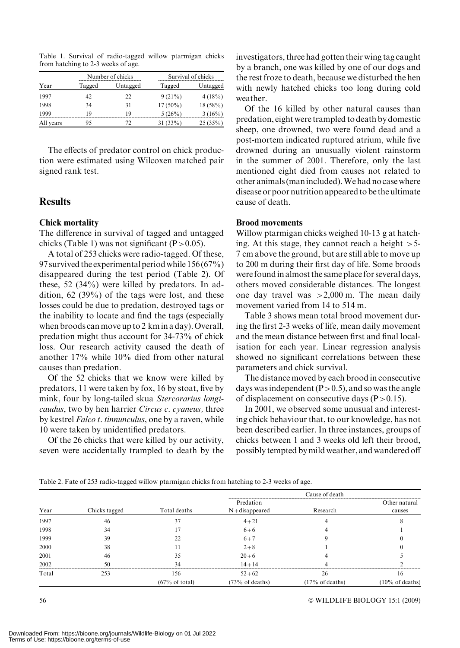Table 1. Survival of radio-tagged willow ptarmigan chicks from hatching to 2-3 weeks of age.

|           |        | Number of chicks | Survival of chicks |            |  |
|-----------|--------|------------------|--------------------|------------|--|
| Year      | Tagged | Untagged         | Tagged             | Untagged   |  |
| 1997      | 42     | 22               | $9(21\%)$          | 4(18%)     |  |
| 1998      | 34     | 31               | $17(50\%)$         | $18(58\%)$ |  |
| 1999      | 19     | 19               | 5(26%)             | 3(16%)     |  |
| All years | 95     | 72               | 31(33%)            | 25(35%)    |  |

The effects of predator control on chick production were estimated using Wilcoxen matched pair signed rank test.

## Results

#### Chick mortality

The difference in survival of tagged and untagged chicks (Table 1) was not significant  $(P>0.05)$ .

A total of 253 chicks were radio-tagged. Of these, 97 survived the experimental period while 156 (67%) disappeared during the test period (Table 2). Of these, 52 (34%) were killed by predators. In addition,  $62$  (39%) of the tags were lost, and these losses could be due to predation, destroyed tags or the inability to locate and find the tags (especially when broods can move up to 2 km in a day). Overall, predation might thus account for 34-73% of chick loss. Our research activity caused the death of another 17% while 10% died from other natural causes than predation.

Of the 52 chicks that we know were killed by predators, 11 were taken by fox, 16 by stoat, five by mink, four by long-tailed skua Stercorarius longicaudus, two by hen harrier Circus c. cyaneus, three by kestrel Falco t. tinnunculus, one by a raven, while 10 were taken by unidentified predators.

Of the 26 chicks that were killed by our activity, seven were accidentally trampled to death by the investigators, three had gotten their wing tag caught by a branch, one was killed by one of our dogs and the rest froze to death, because we disturbed the hen with newly hatched chicks too long during cold weather.

Of the 16 killed by other natural causes than predation, eight were trampled to death by domestic sheep, one drowned, two were found dead and a post-mortem indicated ruptured atrium, while five drowned during an unusually violent rainstorm in the summer of 2001. Therefore, only the last mentioned eight died from causes not related to other animals (manincluded).We had no case where disease or poor nutrition appeared to be the ultimate cause of death.

#### Brood movements

Willow ptarmigan chicks weighed 10-13 g at hatching. At this stage, they cannot reach a height  $>5$ -7 cm above the ground, but are still able to move up to 200 m during their first day of life. Some broods were foundin almost the same place for several days, others moved considerable distances. The longest one day travel was  $>2,000$  m. The mean daily movement varied from 14 to 514 m.

Table 3 shows mean total brood movement during the first 2-3 weeks of life, mean daily movement and the mean distance between first and final localisation for each year. Linear regression analysis showed no significant correlations between these parameters and chick survival.

The distance moved by each brood in consecutive days was independent  $(P>0.5)$ , and so was the angle of displacement on consecutive days  $(P>0.15)$ .

In 2001, we observed some unusual and interesting chick behaviour that, to our knowledge, has not been described earlier. In three instances, groups of chicks between 1 and 3 weeks old left their brood, possibly tempted by mild weather, and wandered off

| Table 2. Fate of 253 radio-tagged willow ptarmigan chicks from hatching to 2-3 weeks of age. |  |  |
|----------------------------------------------------------------------------------------------|--|--|
|                                                                                              |  |  |
|                                                                                              |  |  |

| Year  | Chicks tagged | Total deaths              | Predation<br>$N+disappeared$ | Research          | Other natural<br>causes    |
|-------|---------------|---------------------------|------------------------------|-------------------|----------------------------|
| 1997  | 46            | 37                        | $4 + 21$                     |                   |                            |
| 1998  | 34            |                           | $6 + 6$                      |                   |                            |
| 1999  | 39            | 22                        | $6 + 7$                      |                   |                            |
| 2000  | 38            |                           | $2 + 8$                      |                   |                            |
| 2001  | 46            | 35                        | $20 + 6$                     |                   |                            |
| 2002  | 50            | 34                        | $14 + 14$                    |                   |                            |
| Total | 253           | 156                       | $52 + 62$                    | 26                | 16                         |
|       |               | $(67\% \text{ of total})$ | $(73\% \text{ of deaths})$   | $(17%$ of deaths) | $(10\% \text{ of deaths})$ |

WILDLIFE BIOLOGY 15:1 (2009)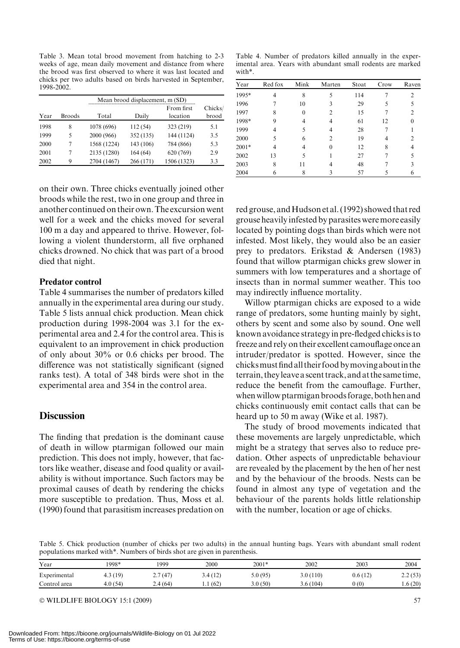Table 3. Mean total brood movement from hatching to 2-3 weeks of age, mean daily movement and distance from where the brood was first observed to where it was last located and chicks per two adults based on birds harvested in September, 1998-2002

| Mean brood displacement, m (SD) |               |             |           |                        |                  |  |  |
|---------------------------------|---------------|-------------|-----------|------------------------|------------------|--|--|
| Year                            | <b>Broods</b> | Total       | Daily     | From first<br>location | Chicks/<br>brood |  |  |
| 1998                            | 8             | 1078 (696)  | 112 (54)  | 323 (219)              | 5.1              |  |  |
| 1999                            | 5             | 2000 (966)  | 352 (135) | 144 (1124)             | 3.5              |  |  |
| 2000                            | 7             | 1568 (1224) | 143 (106) | 784 (866)              | 5.3              |  |  |
| 2001                            | 7             | 2135 (1280) | 164(64)   | 620 (769)              | 2.9              |  |  |
| 2002                            | 9             | 2704 (1467) | 266 (171) | 1506 (1323)            | 3.3              |  |  |

on their own. Three chicks eventually joined other broods while the rest, two in one group and three in another continued on their own.The excursion went well for a week and the chicks moved for several 100 m a day and appeared to thrive. However, following a violent thunderstorm, all five orphaned chicks drowned. No chick that was part of a brood died that night.

#### Predator control

Table 4 summarises the number of predators killed annually in the experimental area during our study. Table 5 lists annual chick production. Mean chick production during 1998-2004 was 3.1 for the experimental area and 2.4 for the control area. This is equivalent to an improvement in chick production of only about 30% or 0.6 chicks per brood. The difference was not statistically significant (signed ranks test). A total of 348 birds were shot in the experimental area and 354 in the control area.

#### **Discussion**

The finding that predation is the dominant cause of death in willow ptarmigan followed our main prediction. This does not imply, however, that factors like weather, disease and food quality or availability is without importance. Such factors may be proximal causes of death by rendering the chicks more susceptible to predation. Thus, Moss et al. (1990) found that parasitism increases predation on

Table 4. Number of predators killed annually in the experimental area. Years with abundant small rodents are marked with\*.

| Year    | Red fox | Mink | Marten         | Stoat | Crow | Raven |
|---------|---------|------|----------------|-------|------|-------|
| 1995*   |         | 8    | 5              | 114   |      | 2     |
| 1996    |         | 10   | 3              | 29    | 5    |       |
| 1997    | 8       |      | 2              | 15    |      | 2     |
| 1998*   | 9       |      | 4              | 61    | 12   |       |
| 1999    |         |      | 4              | 28    |      |       |
| 2000    | 5       | 6    | $\mathfrak{D}$ | 19    |      |       |
| $2001*$ | 4       |      | $\Omega$       | 12    | 8    |       |
| 2002    | 13      |      |                | 27    |      |       |
| 2003    | 8       | 11   |                | 48    |      | 3     |
| 2004    | 6       |      |                | 57    |      | 6     |

red grouse, and Hudson et al. (1992) showed that red grouse heavilyinfested by parasites weremore easily located by pointing dogs than birds which were not infested. Most likely, they would also be an easier prey to predators. Erikstad & Andersen (1983) found that willow ptarmigan chicks grew slower in summers with low temperatures and a shortage of insects than in normal summer weather. This too may indirectly influence mortality.

Willow ptarmigan chicks are exposed to a wide range of predators, some hunting mainly by sight, others by scent and some also by sound. One well known avoidance strategy in pre-fledged chicks is to freeze and rely on their excellent camouflage once an intruder/predator is spotted. However, since the chicksmust find all their food bymoving aboutin the terrain, theyleave a scent track, and at the same time, reduce the benefit from the camouflage. Further, whenwillow ptarmigan broods forage, both hen and chicks continuously emit contact calls that can be heard up to 50 m away (Wike et al. 1987).

The study of brood movements indicated that these movements are largely unpredictable, which might be a strategy that serves also to reduce predation. Other aspects of unpredictable behaviour are revealed by the placement by the hen of her nest and by the behaviour of the broods. Nests can be found in almost any type of vegetation and the behaviour of the parents holds little relationship with the number, location or age of chicks.

Table 5. Chick production (number of chicks per two adults) in the annual hunting bags. Years with abundant small rodent populations marked with\*. Numbers of birds shot are given in parenthesis.

| Year         | 1998*   | 1999    | 2000    | $2001*$  | 2002     | 2003    | 2004    |
|--------------|---------|---------|---------|----------|----------|---------|---------|
| Experimental | 4.3(19) | 2.7(47) | 3.4(12) | 5.0 (95) | 3.0(110) | 0.6(12) | 2.2(53) |
| Control area | 4.0(54) | 2.4(64) | (62)    | 3.0(50)  | 3.6(104) | 0(0)    | .6(20)  |

© WILDLIFE BIOLOGY 15:1 (2009) 57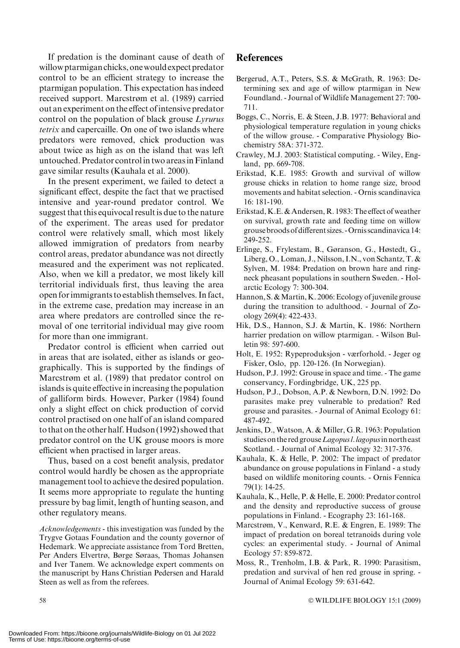If predation is the dominant cause of death of willow ptarmigan chicks, onewould expect predator control to be an efficient strategy to increase the ptarmigan population. This expectation has indeed received support. Marcstrøm et al. (1989) carried out an experiment on the effect of intensive predator control on the population of black grouse Lyrurus tetrix and capercaille. On one of two islands where predators were removed, chick production was about twice as high as on the island that was left untouched. Predator control in two areas in Finland gave similar results (Kauhala et al. 2000).

In the present experiment, we failed to detect a significant effect, despite the fact that we practised intensive and year-round predator control. We suggest that this equivocal result is due to the nature of the experiment. The areas used for predator control were relatively small, which most likely allowed immigration of predators from nearby control areas, predator abundance was not directly measured and the experiment was not replicated. Also, when we kill a predator, we most likely kill territorial individuals first, thus leaving the area open for immigrants to establish themselves. In fact, in the extreme case, predation may increase in an area where predators are controlled since the removal of one territorial individual may give room for more than one immigrant.

Predator control is efficient when carried out in areas that are isolated, either as islands or geographically. This is supported by the findings of Marcstrøm et al. (1989) that predator control on islands is quite effective in increasing the population of galliform birds. However, Parker (1984) found only a slight effect on chick production of corvid control practised on one half of an island compared to that on the other half. Hudson (1992) showed that predator control on the UK grouse moors is more efficient when practised in larger areas.

Thus, based on a cost benefit analysis, predator control would hardly be chosen as the appropriate management tool to achieve the desired population. It seems more appropriate to regulate the hunting pressure by bag limit, length of hunting season, and other regulatory means.

Acknowledgements - this investigation was funded by the Trygve Gotaas Foundation and the county governor of Hedemark. We appreciate assistance from Tord Bretten, Per Anders Elvertrø, Børge Søraas, Thomas Johansen and Iver Tanem. We acknowledge expert comments on the manuscript by Hans Christian Pedersen and Harald Steen as well as from the referees.

# **References**

- Bergerud, A.T., Peters, S.S. & McGrath, R. 1963: Determining sex and age of willow ptarmigan in New Foundland. - Journal ofWildlife Management 27: 700- 711.
- Boggs, C., Norris, E. & Steen, J.B. 1977: Behavioral and physiological temperature regulation in young chicks of the willow grouse. - Comparative Physiology Biochemistry 58A: 371-372.
- Crawley, M.J. 2003: Statistical computing. Wiley, England, pp. 669-708.
- Erikstad, K.E. 1985: Growth and survival of willow grouse chicks in relation to home range size, brood movements and habitat selection. - Ornis scandinavica 16: 181-190.
- Erikstad, K.E. & Andersen, R. 1983: The effect of weather on survival, growth rate and feeding time on willow grouse broods of different sizes. -Ornis scandinavica 14: 249-252.
- Erlinge, S., Frylestam, B., Gøranson, G., Høstedt, G., Liberg, O., Loman, J., Nilsson, I.N., von Schantz, T. & Sylven, M. 1984: Predation on brown hare and ringneck pheasant populations in southern Sweden. - Holarctic Ecology 7: 300-304.
- Hannon, S. & Martin, K. 2006: Ecology of juvenile grouse during the transition to adulthood. - Journal of Zoology 269(4): 422-433.
- Hik, D.S., Hannon, S.J. & Martin, K. 1986: Northern harrier predation on willow ptarmigan. - Wilson Bulletin 98: 597-600.
- Holt, E. 1952: Rypeproduksjon værforhold. Jeger og Fisker, Oslo, pp. 120-126. (In Norwegian).
- Hudson, P.J. 1992: Grouse in space and time. The game conservancy, Fordingbridge, UK, 225 pp.
- Hudson, P.J., Dobson, A.P. & Newborn, D.N. 1992: Do parasites make prey vulnerable to predation? Red grouse and parasites. - Journal of Animal Ecology 61: 487-492.
- Jenkins, D., Watson, A. & Miller, G.R. 1963: Population studies on the red grouse Lagopus l. lagopus in north east Scotland. - Journal of Animal Ecology 32: 317-376.
- Kauhala, K. & Helle, P. 2002: The impact of predator abundance on grouse populations in Finland - a study based on wildlife monitoring counts. - Ornis Fennica 79(1): 14-25.
- Kauhala, K., Helle, P. & Helle, E. 2000: Predator control and the density and reproductive success of grouse populations in Finland. - Ecography 23: 161-168.
- Marcstrøm, V., Kenward, R.E. & Engren, E. 1989: The impact of predation on boreal tetranoids during vole cycles: an experimental study. - Journal of Animal Ecology 57: 859-872.
- Moss, R., Trenholm, I.B. & Park, R. 1990: Parasitism, predation and survival of hen red grouse in spring. - Journal of Animal Ecology 59: 631-642.